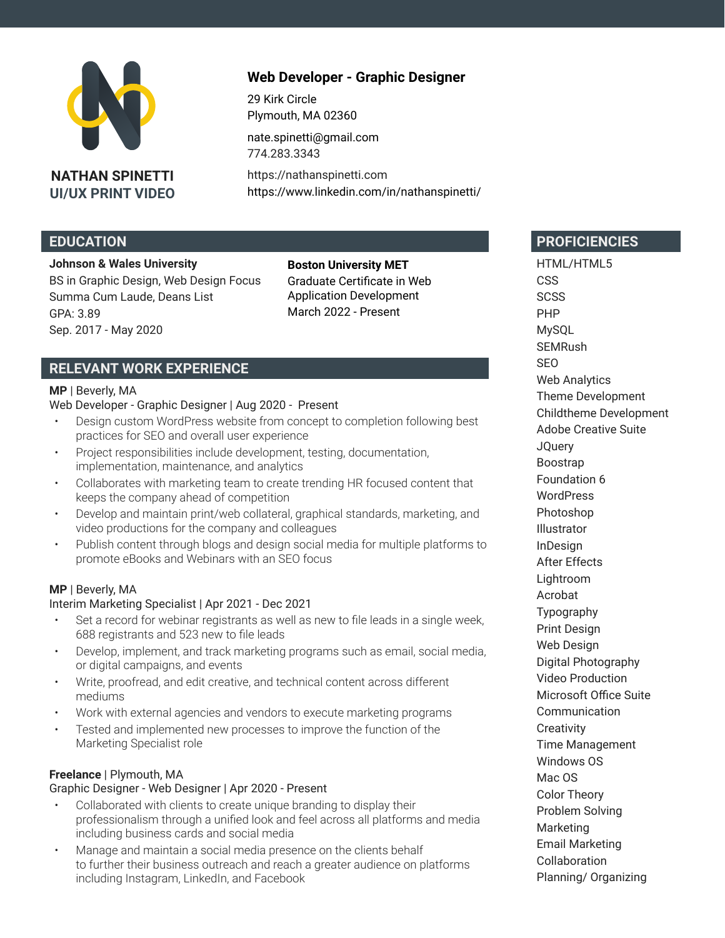

**NATHAN SPINETTI UI/UX PRINT VIDEO**

# **Web Developer - Graphic Designer**

29 Kirk Circle Plymouth, MA 02360 [nate.spinetti@gmail.com](mailto:nate.spinetti%40gmail.com?subject=) [774.283.3343](tel:7742833343)

[https://nathanspinetti.com](https://nathanspinetti.com
) <https://www.linkedin.com/in/nathanspinetti/>

## **EDUCATION**

#### **Johnson & Wales University**

BS in Graphic Design, Web Design Focus Summa Cum Laude, Deans List GPA: 3.89 Sep. 2017 - May 2020

**Boston University MET** Graduate Certificate in Web Application Development March 2022 - Present

## **RELEVANT WORK EXPERIENCE**

#### **MP** | Beverly, MA

#### Web Developer - Graphic Designer | Aug 2020 - Present

- Design custom WordPress website from concept to completion following best practices for SEO and overall user experience
- Project responsibilities include development, testing, documentation, implementation, maintenance, and analytics
- Collaborates with marketing team to create trending HR focused content that keeps the company ahead of competition
- Develop and maintain print/web collateral, graphical standards, marketing, and video productions for the company and colleagues
- Publish content through blogs and design social media for multiple platforms to promote eBooks and Webinars with an SEO focus

### **MP** | Beverly, MA

#### Interim Marketing Specialist | Apr 2021 - Dec 2021

- Set a record for webinar registrants as well as new to file leads in a single week, 688 registrants and 523 new to file leads
- Develop, implement, and track marketing programs such as email, social media, or digital campaigns, and events
- Write, proofread, and edit creative, and technical content across different mediums
- Work with external agencies and vendors to execute marketing programs
- Tested and implemented new processes to improve the function of the Marketing Specialist role

#### **[Freelance](https://nathanspinetti.com)** | Plymouth, MA

#### Graphic Designer - Web Designer | Apr 2020 - Present

- Collaborated with clients to create unique branding to display their professionalism through a unified look and feel across all platforms and media including business cards and social media
- Manage and maintain a social media presence on the clients behalf to further their business outreach and reach a greater audience on platforms including Instagram, LinkedIn, and Facebook

## **PROFICIENCIES**

HTML/HTML5 **CSS SCSS** PHP MySQL **SEMRush** SEO Web Analytics Theme Development Childtheme Development Adobe Creative Suite **JQuery** Boostrap Foundation 6 WordPress Photoshop Illustrator InDesign After Effects Lightroom Acrobat Typography Print Design Web Design Digital Photography Video Production Microsoft Office Suite **Communication Creativity** Time Management Windows OS Mac OS Color Theory Problem Solving Marketing Email Marketing Collaboration Planning/ Organizing